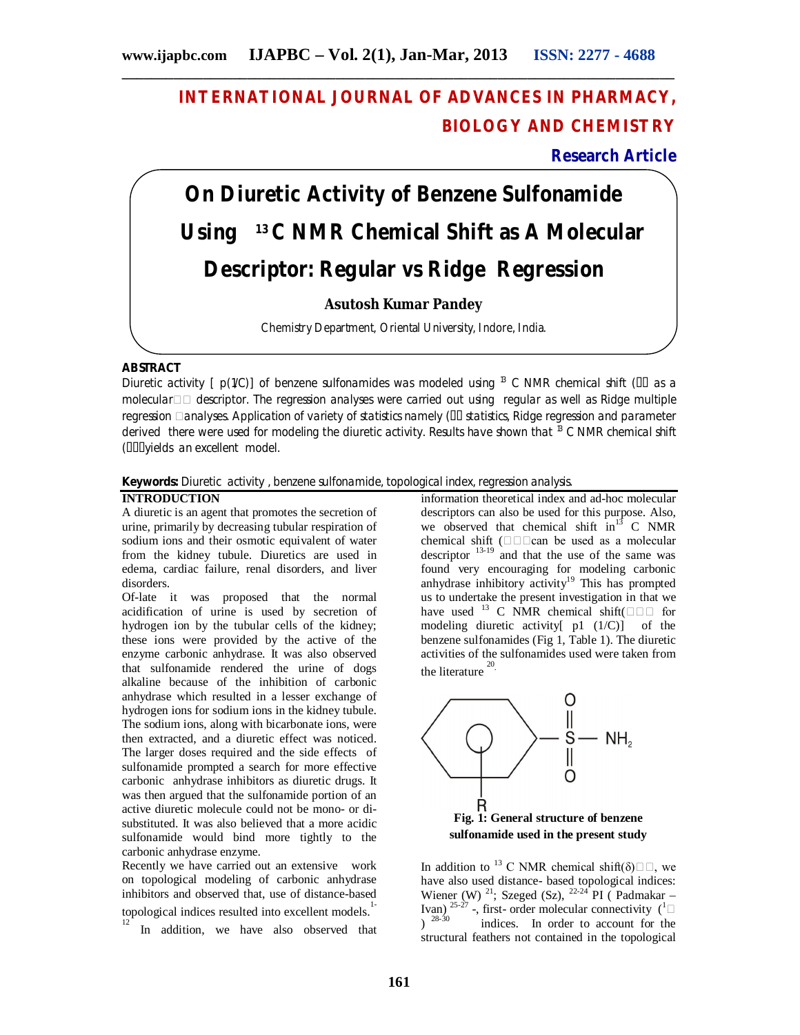# **INTERNATIONAL JOURNAL OF ADVANCES IN PHARMACY, BIOLOGY AND CHEMISTRY**

**Research Article**

# **On Diuretic Activity of Benzene Sulfonamide Using 13 C NMR Chemical Shift as A Molecular Descriptor: Regular vs Ridge Regression**

# **Asutosh Kumar Pandey**

Chemistry Department, Oriental University, Indore, India.

# **ABSTRACT**

Diuretic activity [  $p(1/C)$ ] of benzene sulfonamides was modeled using <sup>13</sup> C NMR chemical shift ( $\Box$  as a molecular  $\Box$  descriptor. The regression analyses were carried out using regular as well as Ridge multiple regression **analyses. Application of variety of statistics namely (III statistics, Ridge regression and parameter** derived there were used for modeling the diuretic activity. Results have shown that  $13$  C NMR chemical shift (**IIII** vields an excellent model.

**Keywords:** Diuretic activity , benzene sulfonamide, topological index, regression analysis.

# **INTRODUCTION**

12

A diuretic is an agent that promotes the secretion of urine, primarily by decreasing tubular respiration of sodium ions and their osmotic equivalent of water from the kidney tubule. Diuretics are used in edema, cardiac failure, renal disorders, and liver disorders.

Of-late it was proposed that the normal acidification of urine is used by secretion of hydrogen ion by the tubular cells of the kidney; these ions were provided by the active of the enzyme carbonic anhydrase. It was also observed that sulfonamide rendered the urine of dogs alkaline because of the inhibition of carbonic anhydrase which resulted in a lesser exchange of hydrogen ions for sodium ions in the kidney tubule. The sodium ions, along with bicarbonate ions, were then extracted, and a diuretic effect was noticed. The larger doses required and the side effects of sulfonamide prompted a search for more effective carbonic anhydrase inhibitors as diuretic drugs. It was then argued that the sulfonamide portion of an active diuretic molecule could not be mono- or disubstituted. It was also believed that a more acidic sulfonamide would bind more tightly to the carbonic anhydrase enzyme.

Recently we have carried out an extensive work on topological modeling of carbonic anhydrase inhibitors and observed that, use of distance-based topological indices resulted into excellent models.<sup>1</sup>

In addition, we have also observed that

information theoretical index and ad-hoc molecular descriptors can also be used for this purpose. Also, we observed that chemical shift  $in^{13}$  C NMR chemical shift (can be used as a molecular descriptor  $13-19$  and that the use of the same was found very encouraging for modeling carbonic anhydrase inhibitory  $\arct{activity}^{19}$  This has prompted us to undertake the present investigation in that we have used <sup>13</sup> C NMR chemical shift( $\square \square \square$  for modeling diuretic activity[ p1 (1/C)] of the benzene sulfonamides (Fig 1, Table 1). The diuretic activities of the sulfonamides used were taken from the literature<sup>20</sup>



In addition to <sup>13</sup> C NMR chemical shift( $\delta$ ) $\Box$  we have also used distance- based topological indices: Wiener (W) <sup>21</sup>; Szeged (Sz), <sup>22-24</sup> PI ( Padmakar – Ivan)  $^{25-27}$  -, first- order molecular connectivity  $(^{1} \square$  $1^{28-30}$  indices. In order to account for the structural feathers not contained in the topological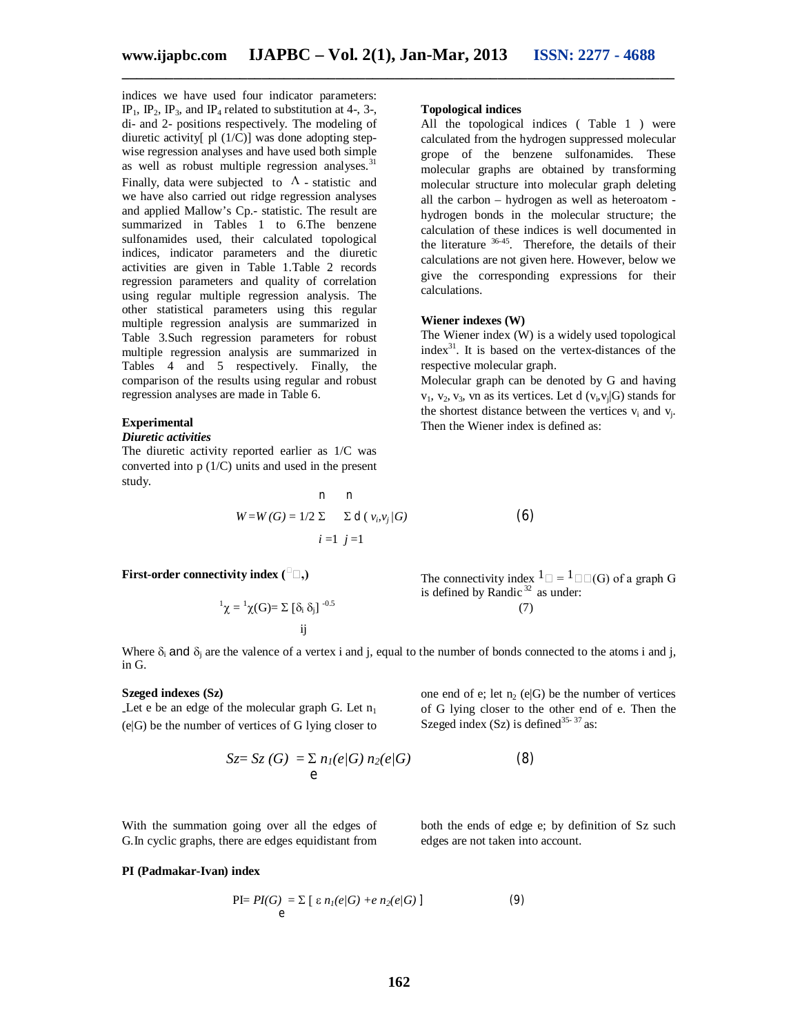indices we have used four indicator parameters: IP<sub>1</sub>, IP<sub>2</sub>, IP<sub>3</sub>, and IP<sub>4</sub> related to substitution at 4-, 3-, di- and 2- positions respectively. The modeling of diuretic activity[ $pl (1/C)$ ] was done adopting stepwise regression analyses and have used both simple as well as robust multiple regression analyses. $31$ Finally, data were subjected to  $\Lambda$  - statistic and we have also carried out ridge regression analyses and applied Mallow's Cp.- statistic. The result are summarized in Tables 1 to 6.The benzene sulfonamides used, their calculated topological indices, indicator parameters and the diuretic activities are given in Table 1.Table 2 records regression parameters and quality of correlation using regular multiple regression analysis. The other statistical parameters using this regular multiple regression analysis are summarized in Table 3.Such regression parameters for robust multiple regression analysis are summarized in Tables 4 and 5 respectively. Finally, the comparison of the results using regular and robust regression analyses are made in Table 6.

### **Experimental**

#### *Diuretic activities*

The diuretic activity reported earlier as 1/C was converted into p (1/C) units and used in the present study.

$$
n \quad n
$$
  
\n
$$
W = W(G) = 1/2 \sum \sum d(v_i, v_j/G)
$$
 (6)  
\n
$$
i = 1 \quad j = 1
$$

## **First-order connectivity index**  $({}^{\square} \square, )$

$$
{}^{1}\chi = {}^{1}\chi(G) = \sum [\delta_{i} \delta_{j}]^{-0.5}
$$
\n
$$
ij
$$
\n(7)

The connectivity index  $1 \Box = 1 \Box(\Box)$  of a graph G is defined by Randic  $32$  as under:

Where  $\delta_i$  and  $\delta_i$  are the valence of a vertex i and j, equal to the number of bonds connected to the atoms i and j, in G.

#### **Szeged indexes (Sz)**

Let e be an edge of the molecular graph G. Let  $n_1$ (e|G) be the number of vertices of G lying closer to

With the summation going over all the edges of

one end of e; let 
$$
n_2
$$
 (e|G) be the number of vertices of G lying closer to the other end of e. Then the Szeged index (Sz) is defined<sup>35-37</sup> as:

$$
Sz = Sz(G) = \sum_{e} n_{1}(e/G) n_{2}(e/G)
$$
 (8)

both the ends of edge e; by definition of Sz such edges are not taken into account.

# G.In cyclic graphs, there are edges equidistant from

# **PI (Padmakar-Ivan) index**

$$
\text{PI} = PI(G) = \sum_{e} \left[ \varepsilon n_{1}(e/G) + e n_{2}(e/G) \right] \tag{9}
$$

# **Topological indices**

All the topological indices ( Table 1 ) were calculated from the hydrogen suppressed molecular grope of the benzene sulfonamides. These molecular graphs are obtained by transforming molecular structure into molecular graph deleting all the carbon – hydrogen as well as heteroatom hydrogen bonds in the molecular structure; the calculation of these indices is well documented in the literature  $36-45$ . Therefore, the details of their calculations are not given here. However, below we give the corresponding expressions for their calculations.

#### **Wiener indexes (W)**

The Wiener index (W) is a widely used topological  $index<sup>31</sup>$ . It is based on the vertex-distances of the respective molecular graph.

Molecular graph can be denoted by G and having  $v_1$ ,  $v_2$ ,  $v_3$ , vn as its vertices. Let d  $(v_i, v_j | G)$  stands for the shortest distance between the vertices  $v_i$  and  $v_j$ . Then the Wiener index is defined as: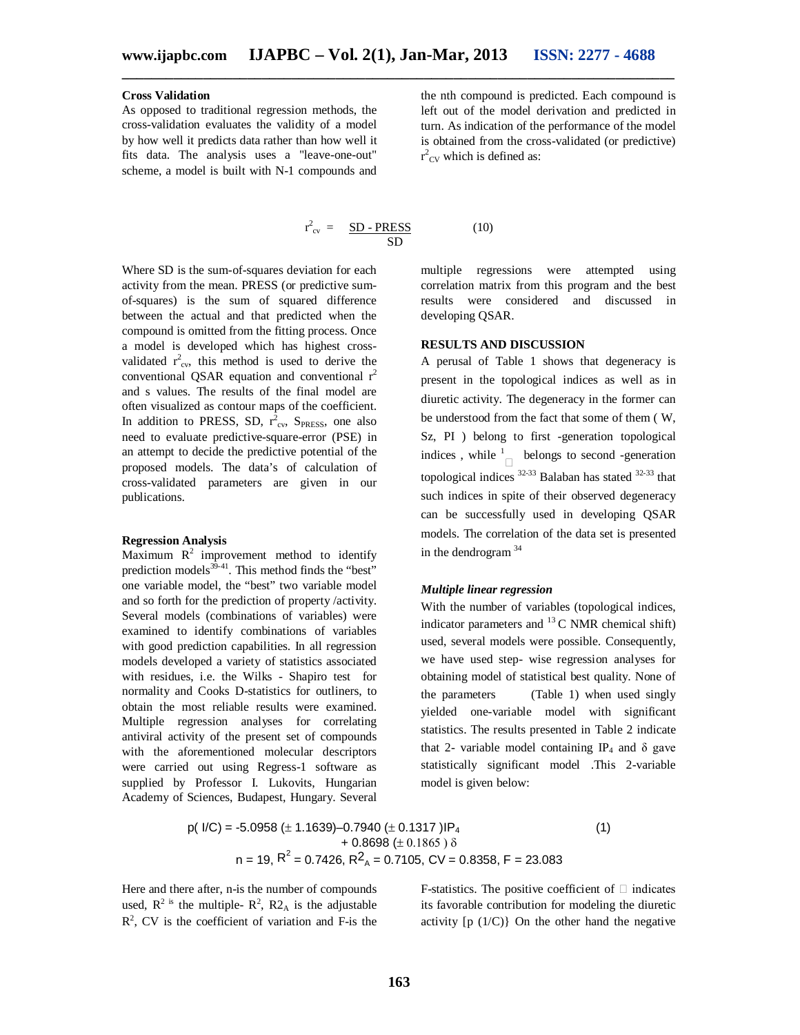# **Cross Validation**

As opposed to traditional regression methods, the cross-validation evaluates the validity of a model by how well it predicts data rather than how well it fits data. The analysis uses a "leave-one-out" scheme, a model is built with N-1 compounds and

$$
r_{\rm cv}^2 = \frac{SD - PRESS}{SD} \tag{10}
$$

Where SD is the sum-of-squares deviation for each activity from the mean. PRESS (or predictive sumof-squares) is the sum of squared difference between the actual and that predicted when the compound is omitted from the fitting process. Once a model is developed which has highest crossvalidated  $r_{\text{cv}}^2$ , this method is used to derive the conventional QSAR equation and conventional  $r^2$ and s values. The results of the final model are often visualized as contour maps of the coefficient. In addition to PRESS, SD,  $r_{cv}^2$ , S<sub>PRESS</sub>, one also need to evaluate predictive-square-error (PSE) in an attempt to decide the predictive potential of the proposed models. The data's of calculation of cross-validated parameters are given in our publications.

#### **Regression Analysis**

Maximum  $R^2$  improvement method to identify prediction models $39-41$ . This method finds the "best" one variable model, the "best" two variable model and so forth for the prediction of property /activity. Several models (combinations of variables) were examined to identify combinations of variables with good prediction capabilities. In all regression models developed a variety of statistics associated with residues, i.e. the Wilks - Shapiro test for normality and Cooks D-statistics for outliners, to obtain the most reliable results were examined. Multiple regression analyses for correlating antiviral activity of the present set of compounds with the aforementioned molecular descriptors were carried out using Regress-1 software as supplied by Professor I. Lukovits, Hungarian Academy of Sciences, Budapest, Hungary. Several

the nth compound is predicted. Each compound is left out of the model derivation and predicted in turn. As indication of the performance of the model is obtained from the cross-validated (or predictive)  $r^2_{\text{CV}}$  which is defined as:

$$
(\mathbf{1}
$$

multiple regressions were attempted using correlation matrix from this program and the best results were considered and discussed in developing QSAR.

# **RESULTS AND DISCUSSION**

A perusal of Table 1 shows that degeneracy is present in the topological indices as well as in diuretic activity. The degeneracy in the former can be understood from the fact that some of them ( W, Sz, PI ) belong to first -generation topological indices, while  $\frac{1}{\Box}$  belongs to second -generation topological indices  $32-33$  Balaban has stated  $32-33$  that such indices in spite of their observed degeneracy can be successfully used in developing QSAR models. The correlation of the data set is presented in the dendrogram  $34$ 

## *Multiple linear regression*

With the number of variables (topological indices, indicator parameters and  $^{13}$ C NMR chemical shift) used, several models were possible. Consequently, we have used step- wise regression analyses for obtaining model of statistical best quality. None of the parameters (Table 1) when used singly yielded one-variable model with significant statistics. The results presented in Table 2 indicate that 2- variable model containing IP<sub>4</sub> and  $\delta$  gave statistically significant model .This 2-variable model is given below:

$$
p(1/C) = -5.0958 \ (\pm 1.1639) -0.7940 \ (\pm 0.1317) \, \text{IP}_4
$$
\n
$$
+ 0.8698 \ (\pm 0.1865) \, \delta
$$
\n
$$
n = 19, \, R^2 = 0.7426, \, R^2_A = 0.7105, \, CV = 0.8358, \, F = 23.083
$$
\n
$$
(1)
$$

Here and there after, n-is the number of compounds used,  $R^2$  is the multiple-  $R^2$ ,  $R^2$  is the adjustable  $R<sup>2</sup>$ , CV is the coefficient of variation and F-is the F-statistics. The positive coefficient of  $\Box$  indicates its favorable contribution for modeling the diuretic activity  $[p(1/C)]$  On the other hand the negative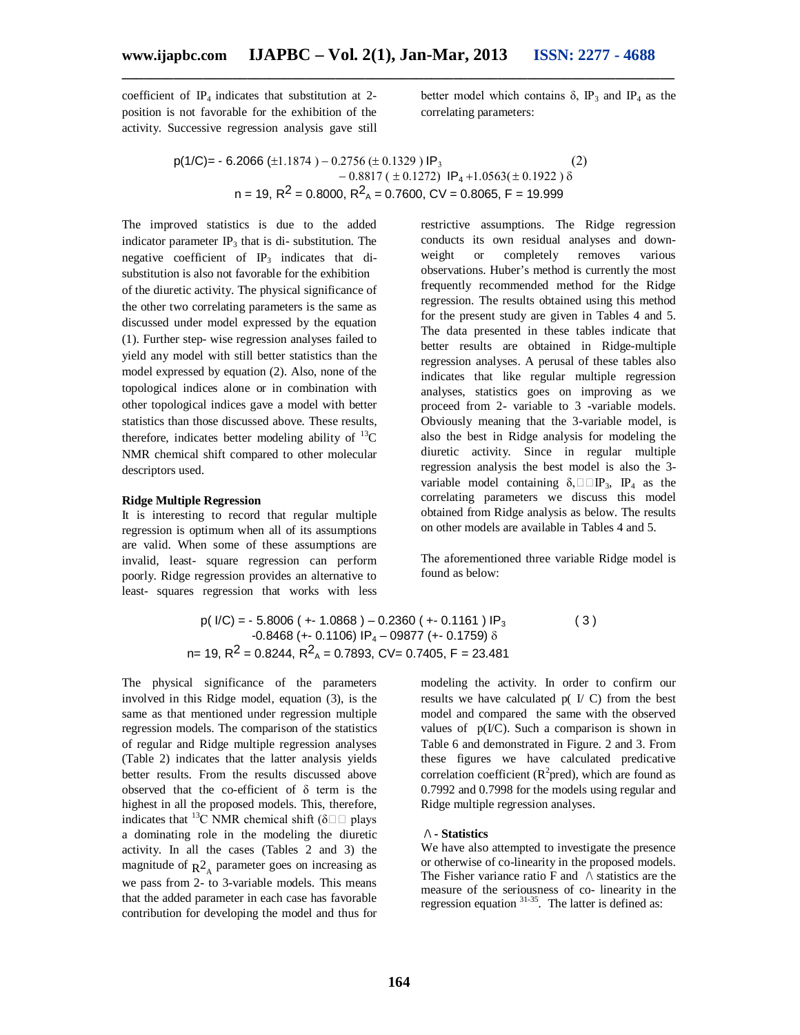coefficient of  $IP_4$  indicates that substitution at 2position is not favorable for the exhibition of the activity. Successive regression analysis gave still better model which contains  $\delta$ , IP<sub>3</sub> and IP<sub>4</sub> as the correlating parameters:

$$
p(1/C) = -6.2066 \ (\pm 1.1874) - 0.2756 \ (\pm 0.1329) \ IP_3
$$
\n
$$
- 0.8817 \ (\pm 0.1272) \ IP_4 + 1.0563 \ (\pm 0.1922) \ \delta
$$
\n
$$
n = 19, R^2 = 0.8000, R^2_A = 0.7600, CV = 0.8065, F = 19.999
$$
\n
$$
(2)
$$

The improved statistics is due to the added indicator parameter  $IP_3$  that is di-substitution. The negative coefficient of  $IP_3$  indicates that disubstitution is also not favorable for the exhibition of the diuretic activity. The physical significance of the other two correlating parameters is the same as discussed under model expressed by the equation (1). Further step- wise regression analyses failed to yield any model with still better statistics than the model expressed by equation (2). Also, none of the topological indices alone or in combination with other topological indices gave a model with better statistics than those discussed above. These results, therefore, indicates better modeling ability of  $^{13}$ C NMR chemical shift compared to other molecular descriptors used.

#### **Ridge Multiple Regression**

It is interesting to record that regular multiple regression is optimum when all of its assumptions are valid. When some of these assumptions are invalid, least- square regression can perform poorly. Ridge regression provides an alternative to least- squares regression that works with less restrictive assumptions. The Ridge regression conducts its own residual analyses and downweight or completely removes various observations. Huber's method is currently the most frequently recommended method for the Ridge regression. The results obtained using this method for the present study are given in Tables 4 and 5. The data presented in these tables indicate that better results are obtained in Ridge-multiple regression analyses. A perusal of these tables also indicates that like regular multiple regression analyses, statistics goes on improving as we proceed from 2- variable to 3 -variable models. Obviously meaning that the 3-variable model, is also the best in Ridge analysis for modeling the diuretic activity. Since in regular multiple regression analysis the best model is also the 3 variable model containing  $\delta$ ,  $\square \square \text{IP}_3$ ,  $\text{IP}_4$  as the correlating parameters we discuss this model obtained from Ridge analysis as below. The results on other models are available in Tables 4 and 5.

The aforementioned three variable Ridge model is found as below:

$$
p(I/C) = -5.8006 (+ - 1.0868) - 0.2360 (+ - 0.1161) IP3
$$
  
-0.8468 (+ - 0.1106) IP<sub>4</sub> - 09877 (+ - 0.1759)  $\delta$   
n= 19, R<sup>2</sup> = 0.8244, R<sup>2</sup><sub>A</sub> = 0.7893, CV = 0.7405, F = 23.481

The physical significance of the parameters involved in this Ridge model, equation (3), is the same as that mentioned under regression multiple regression models. The comparison of the statistics of regular and Ridge multiple regression analyses (Table 2) indicates that the latter analysis yields better results. From the results discussed above observed that the co-efficient of δ term is the highest in all the proposed models. This, therefore, indicates that <sup>13</sup>C NMR chemical shift ( $\delta \Box \Box$  plays a dominating role in the modeling the diuretic activity. In all the cases (Tables 2 and 3) the magnitude of  $R^2_A$  parameter goes on increasing as we pass from 2- to 3-variable models. This means that the added parameter in each case has favorable contribution for developing the model and thus for

modeling the activity. In order to confirm our results we have calculated  $p(V|C)$  from the best model and compared the same with the observed values of  $p(IC)$ . Such a comparison is shown in Table 6 and demonstrated in Figure. 2 and 3. From these figures we have calculated predicative correlation coefficient ( $\mathbb{R}^2$ pred), which are found as 0.7992 and 0.7998 for the models using regular and Ridge multiple regression analyses.

### **/\ - Statistics**

We have also attempted to investigate the presence or otherwise of co-linearity in the proposed models. The Fisher variance ratio F and  $\wedge$  statistics are the measure of the seriousness of co- linearity in the regression equation  $31-35$ . The latter is defined as: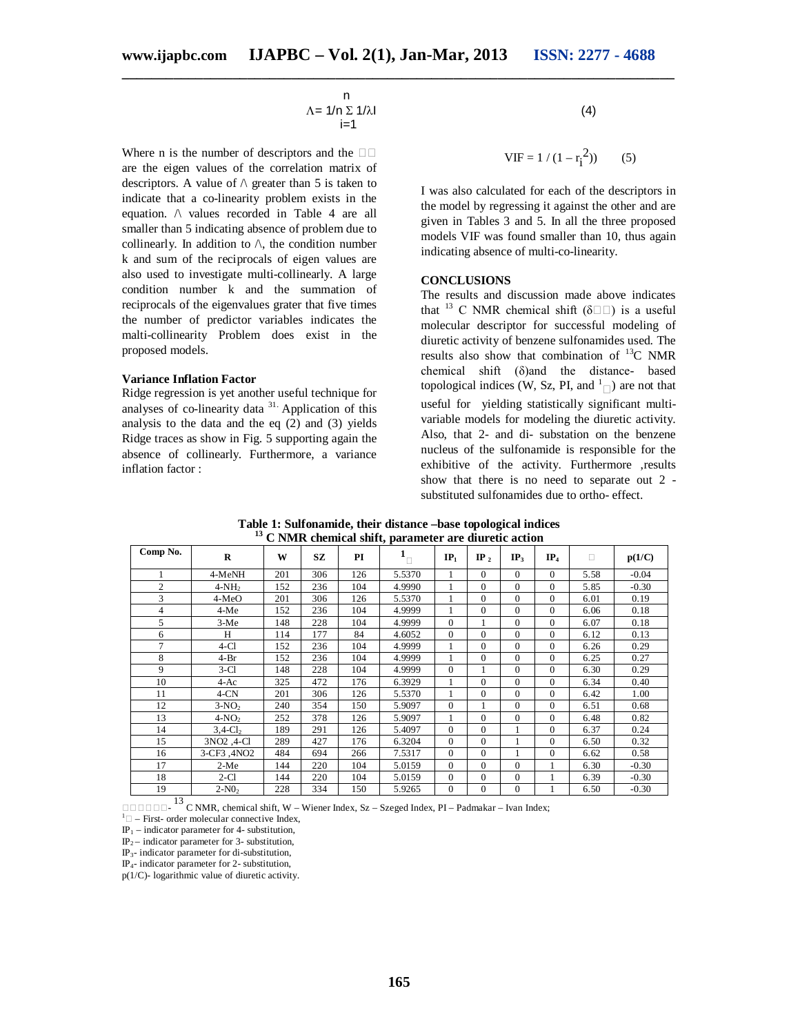$$
\begin{array}{c}\nn\\ \Lambda = 1/n \sum 1/\lambda l\\ i=1\n\end{array}
$$
\n(4)

Where n is the number of descriptors and the  $\square$ are the eigen values of the correlation matrix of descriptors. A value of  $\wedge$  greater than 5 is taken to indicate that a co-linearity problem exists in the equation. /\ values recorded in Table 4 are all smaller than 5 indicating absence of problem due to collinearly. In addition to  $\wedge$ , the condition number k and sum of the reciprocals of eigen values are also used to investigate multi-collinearly. A large condition number k and the summation of reciprocals of the eigenvalues grater that five times the number of predictor variables indicates the malti-collinearity Problem does exist in the proposed models.

#### **Variance Inflation Factor**

Ridge regression is yet another useful technique for analyses of co-linearity data <sup>31.</sup> Application of this analysis to the data and the eq (2) and (3) yields Ridge traces as show in Fig. 5 supporting again the absence of collinearly. Furthermore, a variance inflation factor :

$$
^{(4)}
$$

$$
VIF = 1 / (1 - r_i^2)
$$
 (5)

I was also calculated for each of the descriptors in the model by regressing it against the other and are given in Tables 3 and 5. In all the three proposed models VIF was found smaller than 10, thus again indicating absence of multi-co-linearity.

### **CONCLUSIONS**

The results and discussion made above indicates that <sup>13</sup> C NMR chemical shift ( $\delta \Box \Box$ ) is a useful molecular descriptor for successful modeling of diuretic activity of benzene sulfonamides used. The results also show that combination of  $^{13}C$  NMR chemical shift (δ)and the distance- based topological indices (W, Sz, PI, and  $\binom{1}{\Box}$ ) are not that useful for yielding statistically significant multivariable models for modeling the diuretic activity. Also, that 2- and di- substation on the benzene nucleus of the sulfonamide is responsible for the exhibitive of the activity. Furthermore ,results show that there is no need to separate out 2 substituted sulfonamides due to ortho- effect.

| 13<br>C NMR chemical shift, parameter are diuretic action |         |     |     |     |        |                 |                 |                 |                 |      |         |
|-----------------------------------------------------------|---------|-----|-----|-----|--------|-----------------|-----------------|-----------------|-----------------|------|---------|
| Comp No.                                                  | R       | W   | SZ  | PI  |        | IP <sub>1</sub> | IP <sub>2</sub> | IP <sub>3</sub> | IP <sub>4</sub> | п    | p(1/C)  |
|                                                           | 4-MeNH  | 201 | 306 | 126 | 5.5370 |                 | 0               |                 | 0               | 5.58 | $-0.04$ |
|                                                           | $4-NH2$ | 152 | 236 | 104 | 4.9990 |                 | 0               |                 | $\Omega$        | 5.85 | $-0.30$ |
|                                                           | $4-MeO$ | 201 | 306 | 126 | 5.5370 |                 | 0               |                 | $\Omega$        | 6.01 | 0.19    |
|                                                           | $4-Me$  | 152 | 236 | 104 | 4.9999 |                 | $\theta$        |                 | $\Omega$        | 6.06 | 0.18    |
|                                                           | $3-Me$  | 148 | 228 | 104 | 4.9999 | 0               |                 |                 | $\Omega$        | 6.07 | 0.18    |
| 6                                                         | H       | 114 | 177 | 84  | 4.6052 | $\Omega$        | 0               |                 | $\Omega$        | 6.12 | 0.13    |
|                                                           | $4-C1$  | 152 | 236 | 104 | 4.9999 |                 | $\theta$        |                 | $\Omega$        | 6.26 | 0.29    |
| 8                                                         | $4-Br$  | 152 | 236 | 104 | 4.9999 |                 | $\Omega$        |                 | $\Omega$        | 6.25 | 0.27    |

9 3-Cl 148 228 104 4.9999 0 1 0 0 6.30 0.29 10 4-Ac 325 472 176 6.3929 1 0 0 0 6.34 0.40 11 | 4-CN | 201 | 306 | 126 | 5.5370 | 1 | 0 | 0 | 0 | 6.42 | 1.00 12 **3**-NO<sub>2</sub> 240 354 150 5.9097 0 1 0 0 6.51 0.68 13 4-NO<sub>2</sub> 252 378 126 5.9097 1 0 0 0 6.48 0.82 14 3,4-Cl<sub>2</sub> 189 291 126 5.4097 0 0 1 0 6.37 0.24 15 3NO2, 4-Cl 289 427 176 6.3204 0 0 1 0 6.50 6.50 0.32 16 | 3-CF3 ,4NO2 | 484 | 694 | 266 | 7.5317 | 0 | 0 | 1 | 0 | 6.62 | 0.58 17 | 2-Me | 144 | 220 | 104 | 5.0159 | 0 | 0 | 0 | 1 | 6.30 | -0.30 18 2-Cl 144 220 104 5.0159 0 0 0 1 6.39 -0.30 19 2-NO<sub>2</sub> 228 334 150 5.9265 0 0 0 1 6.50 -0.30

**Table 1: Sulfonamide, their distance –base topological indices**

**OOOOOO** - <sup>13</sup> C NMR, chemical shift, W – Wiener Index, Sz – Szeged Index, PI – Padmakar – Ivan Index;

 $1 \Box$  – First- order molecular connective Index,

 $IP_1$  – indicator parameter for 4- substitution,

IP2 – indicator parameter for 3- substitution,

IP3- indicator parameter for di-substitution,

IP4- indicator parameter for 2- substitution,

p(1/C)- logarithmic value of diuretic activity.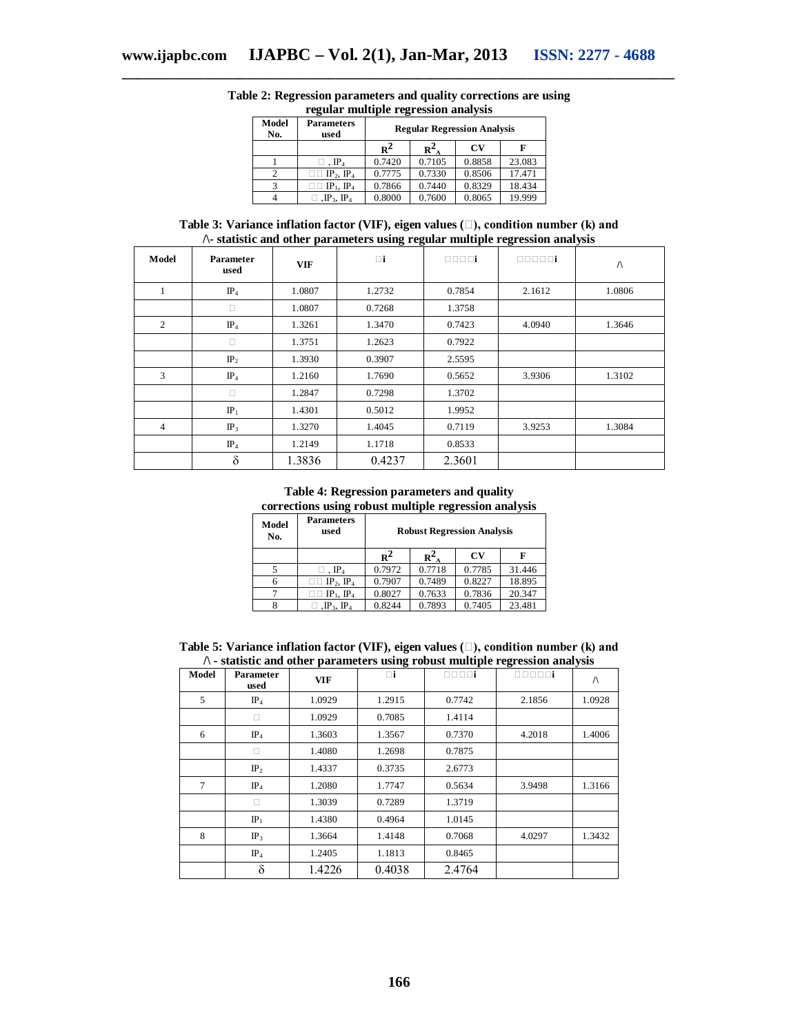| Model<br>No.   | <b>Parameters</b><br>used                 | <b>Regular Regression Analysis</b> |        |        |        |  |
|----------------|-------------------------------------------|------------------------------------|--------|--------|--------|--|
|                |                                           | $R^2$                              | $R^2$  | CV     |        |  |
|                | $\mathbb{P}_4$                            | 0.7420                             | 0.7105 | 0.8858 | 23.083 |  |
| $\overline{c}$ | $\Box$ IP <sub>2</sub> , IP <sub>4</sub>  | 0.7775                             | 0.7330 | 0.8506 | 17.471 |  |
| 3              | $\Box$ $\Box$ $\Box$ $\Box$ $\Box$ $\Box$ | 0.7866                             | 0.7440 | 0.8329 | 18.434 |  |
|                | $\mathbb{P}_3$ , IP <sub>4</sub>          | 0.8000                             | 0.7600 | 0.8065 | 19.999 |  |

# **Table 2: Regression parameters and quality corrections are using regular multiple regression analysis**

**\_\_\_\_\_\_\_\_\_\_\_\_\_\_\_\_\_\_\_\_\_\_\_\_\_\_\_\_\_\_\_\_\_\_\_\_\_\_\_\_\_\_\_\_\_\_\_\_\_\_\_\_\_\_\_\_\_\_\_\_\_\_\_\_\_\_\_\_\_\_\_\_\_\_\_**

**Table 3: Variance inflation factor (VIF), eigen values (), condition number (k) and /\- statistic and other parameters using regular multiple regression analysis**

| Model          | Parameter<br>used | <b>VIF</b> | $\Box$ i | 0000i  | 00000i | $\sqrt{ }$ |
|----------------|-------------------|------------|----------|--------|--------|------------|
|                | $IP_4$            | 1.0807     | 1.2732   | 0.7854 | 2.1612 | 1.0806     |
|                | п                 | 1.0807     | 0.7268   | 1.3758 |        |            |
| $\overline{2}$ | IP <sub>4</sub>   | 1.3261     | 1.3470   | 0.7423 | 4.0940 | 1.3646     |
|                | Ω                 | 1.3751     | 1.2623   | 0.7922 |        |            |
|                | IP <sub>2</sub>   | 1.3930     | 0.3907   | 2.5595 |        |            |
| 3              | $IP_4$            | 1.2160     | 1.7690   | 0.5652 | 3.9306 | 1.3102     |
|                | Ω                 | 1.2847     | 0.7298   | 1.3702 |        |            |
|                | $IP_1$            | 1.4301     | 0.5012   | 1.9952 |        |            |
| 4              | IP <sub>3</sub>   | 1.3270     | 1.4045   | 0.7119 | 3.9253 | 1.3084     |
|                | $IP_4$            | 1.2149     | 1.1718   | 0.8533 |        |            |
|                | $\delta$          | 1.3836     | 0.4237   | 2.3601 |        |            |

**Table 4: Regression parameters and quality corrections using robust multiple regression analysis**

| Model<br>No. | <b>Parameters</b><br>used                  | <b>Robust Regression Analysis</b> |        |        |        |  |
|--------------|--------------------------------------------|-----------------------------------|--------|--------|--------|--|
|              |                                            | $R^2$                             | $R^2$  | CV     | F      |  |
|              | $\cdot$ IP <sub>4</sub>                    | 0.7972                            | 0.7718 | 0.7785 | 31.446 |  |
| 6            | $\Box$ IP <sub>2</sub> , IP <sub>4</sub>   | 0.7907                            | 0.7489 | 0.8227 | 18.895 |  |
|              | $\Box$ IP <sub>1</sub> , IP <sub>4</sub>   | 0.8027                            | 0.7633 | 0.7836 | 20.347 |  |
|              | $\Box$ , $\mathrm{IP}_3$ , $\mathrm{IP}_4$ | 0.8244                            | 0.7893 | 0.7405 | 23.481 |  |

| Table 5: Variance inflation factor (VIF), eigen values $(\square)$ , condition number (k) and |  |
|-----------------------------------------------------------------------------------------------|--|
| $\wedge$ - statistic and other parameters using robust multiple regression analysis           |  |

|       | $\gamma$ - statistic and other parameters using robust multiple regression analysis |            |        |        |        |           |  |  |
|-------|-------------------------------------------------------------------------------------|------------|--------|--------|--------|-----------|--|--|
| Model | Parameter<br>used                                                                   | <b>VIF</b> | Πi     | 0000i  | 00000i | $\Lambda$ |  |  |
| 5     | $IP_4$                                                                              | 1.0929     | 1.2915 | 0.7742 | 2.1856 | 1.0928    |  |  |
|       | П                                                                                   | 1.0929     | 0.7085 | 1.4114 |        |           |  |  |
| 6     | $IP_4$                                                                              | 1.3603     | 1.3567 | 0.7370 | 4.2018 | 1.4006    |  |  |
|       | □                                                                                   | 1.4080     | 1.2698 | 0.7875 |        |           |  |  |
|       | IP <sub>2</sub>                                                                     | 1.4337     | 0.3735 | 2.6773 |        |           |  |  |
| 7     | $IP_4$                                                                              | 1.2080     | 1.7747 | 0.5634 | 3.9498 | 1.3166    |  |  |
|       | П                                                                                   | 1.3039     | 0.7289 | 1.3719 |        |           |  |  |
|       | IP <sub>1</sub>                                                                     | 1.4380     | 0.4964 | 1.0145 |        |           |  |  |
| 8     | IP <sub>3</sub>                                                                     | 1.3664     | 1.4148 | 0.7068 | 4.0297 | 1.3432    |  |  |
|       | $IP_4$                                                                              | 1.2405     | 1.1813 | 0.8465 |        |           |  |  |
|       | δ                                                                                   | 1.4226     | 0.4038 | 2.4764 |        |           |  |  |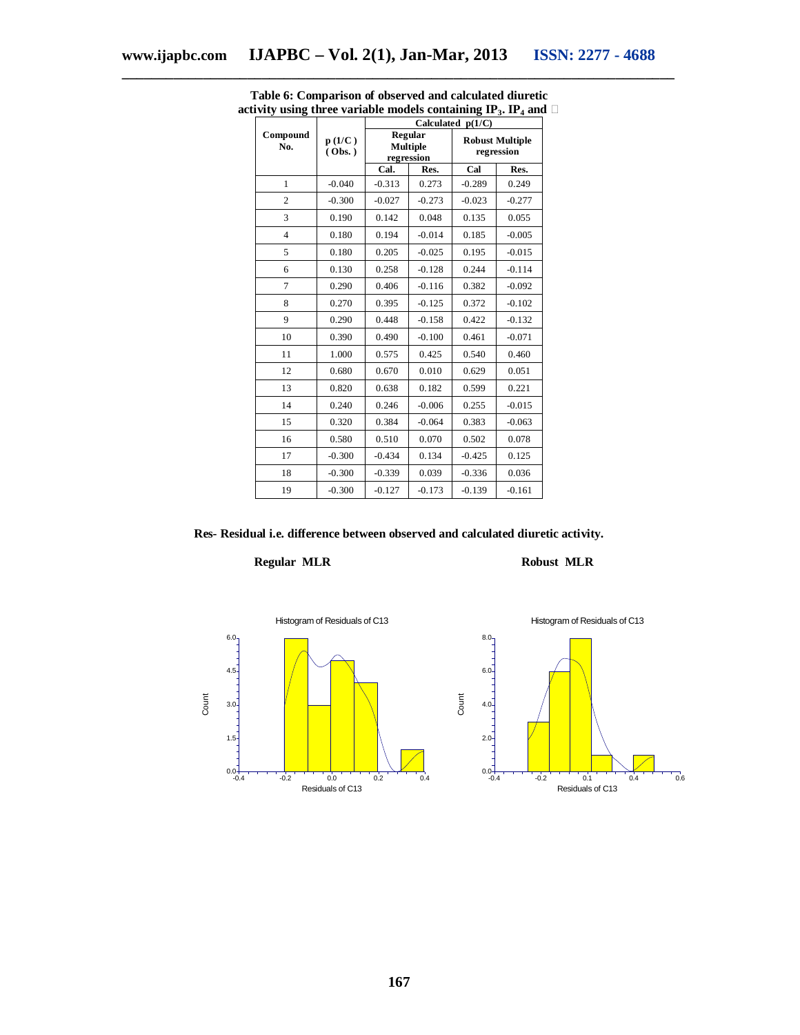|                 |                  | Calculated $p(1/C)$ |                            |                                      |          |  |  |
|-----------------|------------------|---------------------|----------------------------|--------------------------------------|----------|--|--|
| Compound<br>No. | p(1/C)<br>(Obs.) | regression          | Regular<br><b>Multiple</b> | <b>Robust Multiple</b><br>regression |          |  |  |
|                 |                  | Cal.                | Res.                       | Cal                                  | Res.     |  |  |
| $\mathbf{1}$    | $-0.040$         | $-0.313$            | 0.273                      | $-0.289$                             | 0.249    |  |  |
| $\overline{2}$  | $-0.300$         | $-0.027$            | $-0.273$                   | $-0.023$                             | $-0.277$ |  |  |
| 3               | 0.190            | 0.142               | 0.048                      | 0.135                                | 0.055    |  |  |
| $\overline{4}$  | 0.180            | 0.194               | $-0.014$                   | 0.185                                | $-0.005$ |  |  |
| 5               | 0.180            | 0.205               | $-0.025$                   | 0.195                                | $-0.015$ |  |  |
| 6               | 0.130            | 0.258               | $-0.128$                   | 0.244                                | $-0.114$ |  |  |
| 7               | 0.290            | 0.406               | $-0.116$                   | 0.382                                | $-0.092$ |  |  |
| 8               | 0.270            | 0.395               | $-0.125$                   | 0.372                                | $-0.102$ |  |  |
| 9               | 0.290            | 0.448               | $-0.158$                   | 0.422                                | $-0.132$ |  |  |
| 10              | 0.390            | 0.490               | $-0.100$                   | 0.461                                | $-0.071$ |  |  |
| 11              | 1.000            | 0.575               | 0.425                      | 0.540                                | 0.460    |  |  |
| 12              | 0.680            | 0.670               | 0.010                      | 0.629                                | 0.051    |  |  |
| 13              | 0.820            | 0.638               | 0.182                      | 0.599                                | 0.221    |  |  |
| 14              | 0.240            | 0.246               | $-0.006$                   | 0.255                                | $-0.015$ |  |  |
| 15              | 0.320            | 0.384               | $-0.064$                   | 0.383                                | $-0.063$ |  |  |
| 16              | 0.580            | 0.510               | 0.070                      | 0.502                                | 0.078    |  |  |
| 17              | $-0.300$         | $-0.434$            | 0.134                      | $-0.425$                             | 0.125    |  |  |
| 18              | $-0.300$         | $-0.339$            | 0.039                      | $-0.336$                             | 0.036    |  |  |
| 19              | $-0.300$         | $-0.127$            | $-0.173$                   | $-0.139$                             | $-0.161$ |  |  |

**Table 6: Comparison of observed and calculated diuretic activity using three variable models containing**  $IP_3$ **.**  $IP_4$  **and**  $\Box$ 

**Res- Residual i.e. difference between observed and calculated diuretic activity.**

# **Regular MLR Robust MLR**

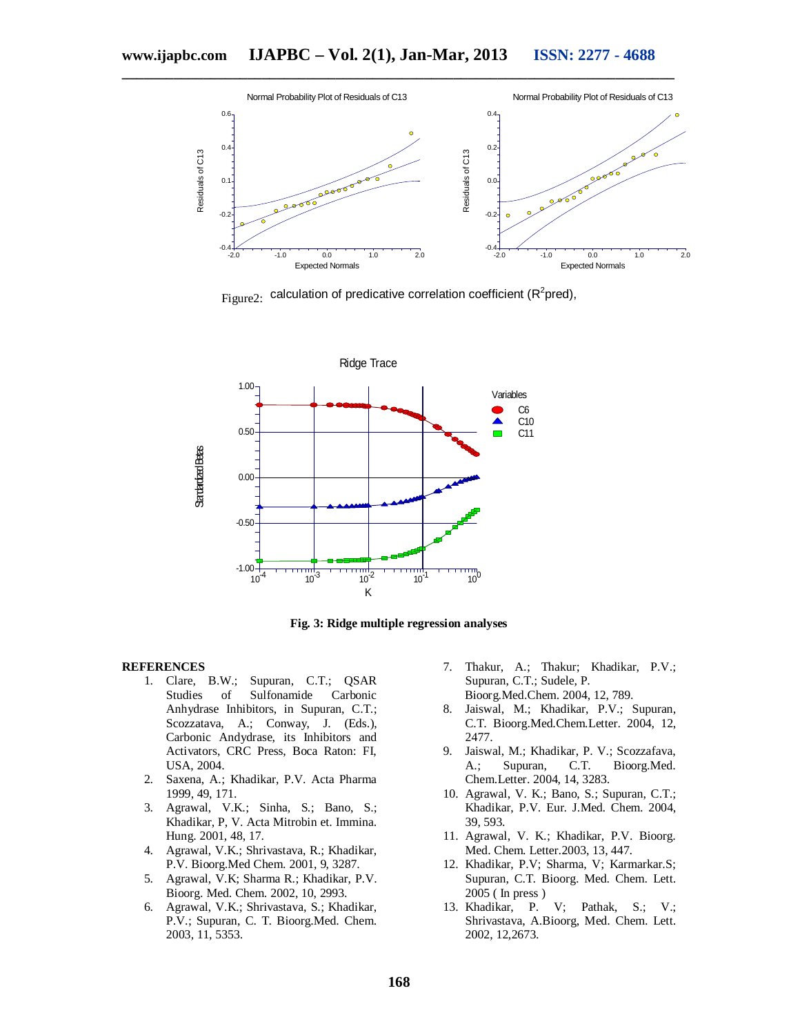

 $_{\rm Figure 2:}$  calculation of predicative correlation coefficient (R<sup>2</sup>pred),



**Fig. 3: Ridge multiple regression analyses**

#### **REFERENCES**

- 1. Clare, B.W.; Supuran, C.T.; QSAR<br>Studies of Sulfonamide Carbonic Studies of Sulfonamide Anhydrase Inhibitors, in Supuran, C.T.; Scozzatava, A.; Conway, J. (Eds.), Carbonic Andydrase, its Inhibitors and Activators, CRC Press, Boca Raton: FI, USA, 2004.
- 2. Saxena, A.; Khadikar, P.V. Acta Pharma 1999, 49, 171.
- 3. Agrawal, V.K.; Sinha, S.; Bano, S.; Khadikar, P, V. Acta Mitrobin et. Immina. Hung. 2001, 48, 17.
- 4. Agrawal, V.K.; Shrivastava, R.; Khadikar, P.V. Bioorg.Med Chem. 2001, 9, 3287.
- 5. Agrawal, V.K; Sharma R.; Khadikar, P.V. Bioorg. Med. Chem. 2002, 10, 2993.
- 6. Agrawal, V.K.; Shrivastava, S.; Khadikar, P.V.; Supuran, C. T. Bioorg.Med. Chem. 2003, 11, 5353.
- 7. Thakur, A.; Thakur; Khadikar, P.V.; Supuran, C.T.; Sudele, P. Bioorg.Med.Chem. 2004, 12, 789.
- 8. Jaiswal, M.; Khadikar, P.V.; Supuran, C.T. Bioorg.Med.Chem.Letter. 2004, 12, 2477.
- 9. Jaiswal, M.; Khadikar, P. V.; Scozzafava, A.; Supuran, C.T. Bioorg.Med. Chem.Letter. 2004, 14, 3283.
- 10. Agrawal, V. K.; Bano, S.; Supuran, C.T.; Khadikar, P.V. Eur. J.Med. Chem. 2004, 39, 593.
- 11. Agrawal, V. K.; Khadikar, P.V. Bioorg. Med. Chem. Letter.2003, 13, 447.
- 12. Khadikar, P.V; Sharma, V; Karmarkar.S; Supuran, C.T. Bioorg. Med. Chem. Lett. 2005 ( In press )
- 13. Khadikar, P. V; Pathak, S.; V.; Shrivastava, A.Bioorg, Med. Chem. Lett. 2002, 12,2673.